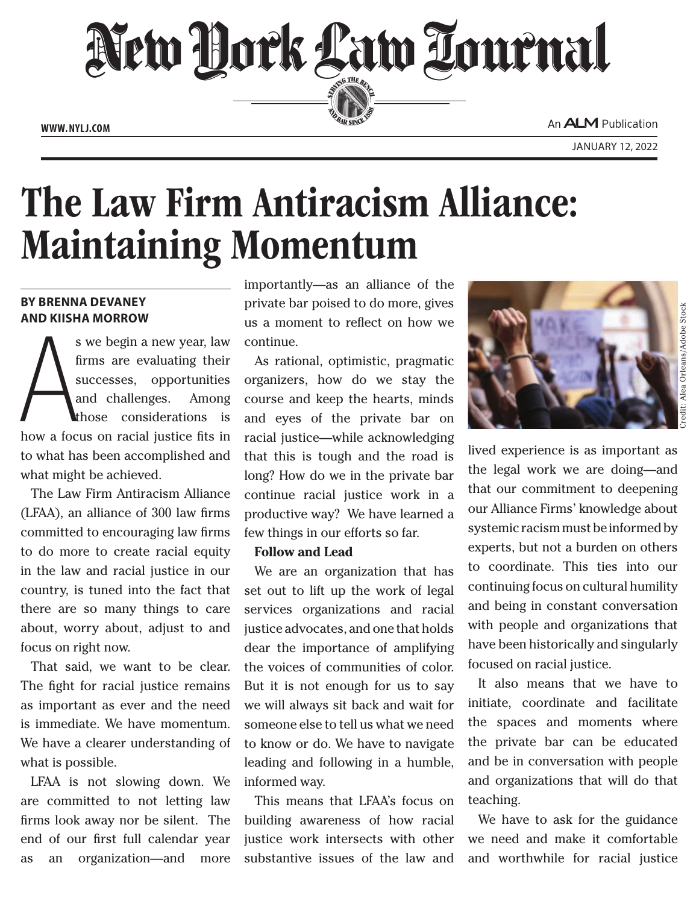New York Law Tournal SERVING THE BEN **ED BAR SINCE 188 www. NYLJ.com**

An **ALM** Publication

# The Law Firm Antiracism Alliance: Maintaining Momentum

# **by Brenna DeVaney and Kiisha Morrow**

s we begin a new year, law<br>firms are evaluating their<br>successes, opportunities<br>and challenges. Among<br>those considerations is<br>how a focus on racial justice fits in s we begin a new year, law firms are evaluating their successes, opportunities and challenges. Among those considerations is to what has been accomplished and what might be achieved.

The Law Firm Antiracism Alliance (LFAA), an alliance of 300 law firms committed to encouraging law firms to do more to create racial equity in the law and racial justice in our country, is tuned into the fact that there are so many things to care about, worry about, adjust to and focus on right now.

That said, we want to be clear. The fight for racial justice remains as important as ever and the need is immediate. We have momentum. We have a clearer understanding of what is possible.

LFAA is not slowing down. We are committed to not letting law firms look away nor be silent. The end of our first full calendar year as an organization—and more

importantly—as an alliance of the private bar poised to do more, gives us a moment to reflect on how we continue.

As rational, optimistic, pragmatic organizers, how do we stay the course and keep the hearts, minds and eyes of the private bar on racial justice—while acknowledging that this is tough and the road is long? How do we in the private bar continue racial justice work in a productive way? We have learned a few things in our efforts so far.

#### **Follow and Lead**

We are an organization that has set out to lift up the work of legal services organizations and racial justice advocates, and one that holds dear the importance of amplifying the voices of communities of color. But it is not enough for us to say we will always sit back and wait for someone else to tell us what we need to know or do. We have to navigate leading and following in a humble, informed way.

This means that LFAA's focus on building awareness of how racial justice work intersects with other substantive issues of the law and



lived experience is as important as the legal work we are doing—and that our commitment to deepening our Alliance Firms' knowledge about systemic racism must be informed by experts, but not a burden on others to coordinate. This ties into our continuing focus on cultural humility and being in constant conversation with people and organizations that have been historically and singularly focused on racial justice.

It also means that we have to initiate, coordinate and facilitate the spaces and moments where the private bar can be educated and be in conversation with people and organizations that will do that teaching.

We have to ask for the guidance we need and make it comfortable and worthwhile for racial justice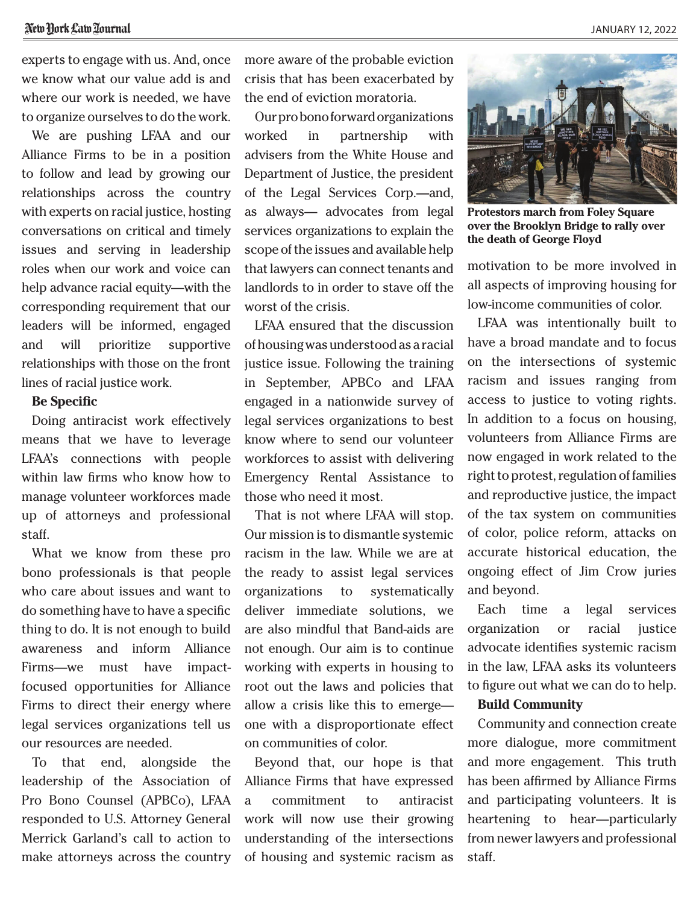we know what our value add is and where our work is needed, we have to organize ourselves to do the work.

We are pushing LFAA and our Alliance Firms to be in a position to follow and lead by growing our relationships across the country with experts on racial justice, hosting conversations on critical and timely issues and serving in leadership roles when our work and voice can help advance racial equity—with the corresponding requirement that our leaders will be informed, engaged and will prioritize supportive relationships with those on the front lines of racial justice work.

#### **Be Specific**

Doing antiracist work effectively means that we have to leverage LFAA's connections with people within law firms who know how to manage volunteer workforces made up of attorneys and professional staff.

What we know from these pro bono professionals is that people who care about issues and want to do something have to have a specific thing to do. It is not enough to build awareness and inform Alliance Firms—we must have impactfocused opportunities for Alliance Firms to direct their energy where legal services organizations tell us our resources are needed.

To that end, alongside the leadership of the Association of Pro Bono Counsel (APBCo), LFAA responded to U.S. Attorney General Merrick Garland's call to action to make attorneys across the country more aware of the probable eviction crisis that has been exacerbated by the end of eviction moratoria.

Our pro bono forward organizations worked in partnership with advisers from the White House and Department of Justice, the president of the Legal Services Corp.—and, as always— advocates from legal services organizations to explain the scope of the issues and available help that lawyers can connect tenants and landlords to in order to stave off the worst of the crisis.

LFAA ensured that the discussion of housing was understood as a racial justice issue. Following the training in September, APBCo and LFAA engaged in a nationwide survey of legal services organizations to best know where to send our volunteer workforces to assist with delivering Emergency Rental Assistance to those who need it most.

That is not where LFAA will stop. Our mission is to dismantle systemic racism in the law. While we are at the ready to assist legal services organizations to systematically deliver immediate solutions, we are also mindful that Band-aids are not enough. Our aim is to continue working with experts in housing to root out the laws and policies that allow a crisis like this to emerge one with a disproportionate effect on communities of color.

Beyond that, our hope is that Alliance Firms that have expressed a commitment to antiracist work will now use their growing understanding of the intersections of housing and systemic racism as



**Protestors march from Foley Square over the Brooklyn Bridge to rally over the death of George Floyd**

motivation to be more involved in all aspects of improving housing for low-income communities of color.

LFAA was intentionally built to have a broad mandate and to focus on the intersections of systemic racism and issues ranging from access to justice to voting rights. In addition to a focus on housing, volunteers from Alliance Firms are now engaged in work related to the right to protest, regulation of families and reproductive justice, the impact of the tax system on communities of color, police reform, attacks on accurate historical education, the ongoing effect of Jim Crow juries and beyond.

Each time a legal services organization or racial justice advocate identifies systemic racism in the law, LFAA asks its volunteers to figure out what we can do to help.

## **Build Community**

Community and connection create more dialogue, more commitment and more engagement. This truth has been affirmed by Alliance Firms and participating volunteers. It is heartening to hear—particularly from newer lawyers and professional staff.